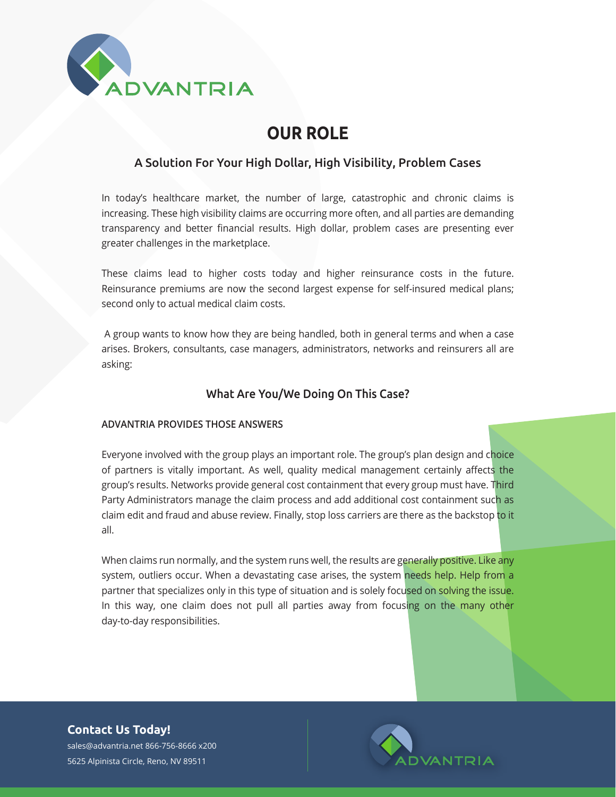

# **OUR ROLE**

## A Solution For Your High Dollar, High Visibility, Problem Cases

In today's healthcare market, the number of large, catastrophic and chronic claims is increasing. These high visibility claims are occurring more often, and all parties are demanding transparency and better financial results. High dollar, problem cases are presenting ever greater challenges in the marketplace.

These claims lead to higher costs today and higher reinsurance costs in the future. Reinsurance premiums are now the second largest expense for self-insured medical plans; second only to actual medical claim costs.

 A group wants to know how they are being handled, both in general terms and when a case arises. Brokers, consultants, case managers, administrators, networks and reinsurers all are asking:

## What Are You/We Doing On This Case?

#### **ADVANTRIA PROVIDES THOSE ANSWERS**

Everyone involved with the group plays an important role. The group's plan design and choice of partners is vitally important. As well, quality medical management certainly affects the group's results. Networks provide general cost containment that every group must have. Third Party Administrators manage the claim process and add additional cost containment such as claim edit and fraud and abuse review. Finally, stop loss carriers are there as the backstop to it all.

When claims run normally, and the system runs well, the results are generally positive. Like any system, outliers occur. When a devastating case arises, the system needs help. Help from a partner that specializes only in this type of situation and is solely focused on solving the issue. In this way, one claim does not pull all parties away from focusing on the many other day-to-day responsibilities.

**Contact Us Today!**

sales@advantria.net 866-756-8666 x200 5625 Alpinista Circle, Reno, NV 89511